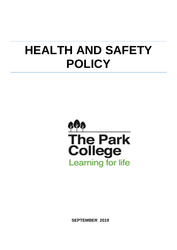# **HEALTH AND SAFETY POLICY**



**SEPTEMBER 2019**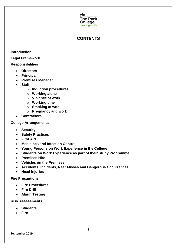

# **CONTENTS**

#### **Introduction**

#### **Legal Framework**

#### **Responsibilities**

- **Directors**
- **Principal**
- **Premises Manager**
- **Staff**
	- o **Induction procedures**
	- o **Working alone**
	- o **Violence at work**
	- o **Working time**
	- o **Smoking at work**
	- o **Pregnancy and work**
- **Contractors**

#### **College Arrangements**

- **Security**
- **Safety Practices**
- **First Aid**
- **Medicines and Infection Control**
- **Young Persons on Work Experience in the College**
- **Students on Work Experience as part of their Study Programme**
- **Premises Hire**
- **Vehicles on the Premises**
- **Accidents, Incidents, Near Misses and Dangerous Occurrences**
- **Head Injuries**

#### **Fire Precautions**

- **Fire Procedures**
- **Fire Drill**
- **Alarm Testing**

#### **Risk Assessments**

- **Students**
- **Fire**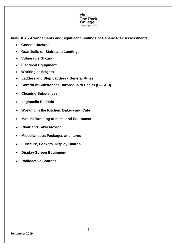

**ANNEX A - Arrangements and Significant Findings of Generic Risk Assessments**

- **General Hazards**
- **Guardrails on Stairs and Landings**
- **Vulnerable Glazing**
- **Electrical Equipment**
- **Working at Heights**
- **Ladders and Step Ladders - General Rules**
- **Control of Substances Hazardous to Health (COSHH)**
- **Cleaning Substances**
- **Legionella Bacteria**
- **Working in the Kitchen, Bakery and Café**
- **Manual Handling of Items and Equipment**
- **Chair and Table Moving**
- **Miscellaneous Packages and Items**
- **Furniture, Lockers, Display Boards**
- **Display Screen Equipment**
- **Radioactive Sources**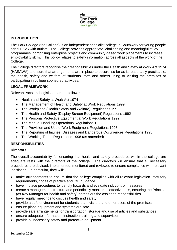

## **INTRODUCTION**

The Park College (the College) is an independent specialist college in Southwark for young people aged 19-25 with autism. The College provides appropriate, challenging and meaningful study programmes, comprising enterprise projects and community-based work placements to increase employability skills. This policy relates to safety information across all aspects of the work of the College.

The College directors recognise their responsibilities under the Health and Safety at Work Act 1974 (HASAWA) to ensure that arrangements are in place to secure, so far as is reasonably practicable, the health, safety and welfare of students, staff and others using or visiting the premises or participating in college sponsored activities.

## **LEGAL FRAMEWORK**

Relevant Acts and legislation are as follows:

- Health and Safety at Work Act 1974
- The Management of Health and Safety at Work Regulations 1999
- The Workplace (Health Safety and Welfare) Regulations 1992
- The Health and Safety (Display Screen Equipment) Regulations 1992
- The Personal Protective Equipment at Work Regulations 1992
- The Manual Handling Operations Regulations 1992
- The Provision and Use of Work Equipment Regulations 1998
- The Reporting of Injuries, Diseases and Dangerous Occurrences Regulations 1995
- The Working Times Regulations 1998 (as amended)

## **RESPONSIBILITIES**

## **Directors**

The overall accountability for ensuring that health and safety procedures within the college are adequate rests with the directors of the college. The directors will ensure that all necessary procedures are devised, implemented, monitored and reviewed to ensure compliance with relevant legislation. In particular, they will: -

- make arrangements to ensure that the college complies with all relevant legislation, statutory requirements, codes of practice and DfE guidance
- have in place procedures to identify hazards and evaluate risk control measures
- create a management structure and periodically monitor its effectiveness, ensuring the Principal (as Key Manager for health and safety) carries out the assigned responsibilities
- have regular meetings to discuss health and safety
- provide a safe environment for students, staff, visitors and other users of the premises
- ensure plant, equipment and systems are safe
- provide safe arrangements for transportation, storage and use of articles and substances
- ensure adequate information, instruction, training and supervision
- provide all necessary safety and protective equipment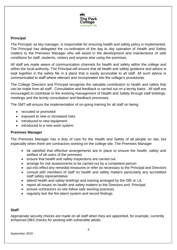

## **Principal**

The Principal, as key manager, is responsible for ensuring health and safety policy is implemented. The Principal has delegated the co-ordination of the day to day operation of Health and Safety matters to the Premises Manager who will assist in the development and maintenance of safe conditions for staff, students, visitors and anyone else using the premises.

All staff are made aware of communication channels for health and safety within the college and within the local authority. The Principal will ensure that all health and safety guidance and advice is kept together in the safety file in a place that is easily accessible to all staff. All such advice is communicated to staff where relevant and incorporated into the college's procedures.

The College Directors and Principal recognise the valuable contribution to health and safety that can be made from all staff. Consultation and feedback is carried out on a termly basis. All staff are encouraged to contribute to the evolving management of Health and Safety through staff briefings. meetings and the termly consultation and feedback processes.

The SMT will ensure the implementation of on-going training for all staff on being:

- recruited or promoted
- exposed to new or increased risks
- introduced to new equipment
- introduced to a new work system.

#### **Premises Manager**

The Premises Manager has a duty of care for the Health and Safety of all people on site, but especially when there are contractors working on the college site. The Premises Manager

- be satisfied that effective arrangements are in place to ensure the health, safety and welfare of all users of the premises
- ensure that health and safety inspections are carried out
- arrange for risk assessments to be carried out by a competent person
- put into effect any remedial measures or refer as necessary to the Principal and Directors
- consult with members of staff on health and safety matters particularly any accredited staff safety representative.
- attend health and safety briefings and training arranged by the DfE or LA.
- report all issues on health and safety matters to the Directors and Principal
- ensure contractors on site follow safe working practices
- regularly test the fire alarm system and record findings

#### **Staff**

Appropriate security checks are made on all staff when they are appointed, for example, currently enhanced DBS checks for working with vulnerable adults.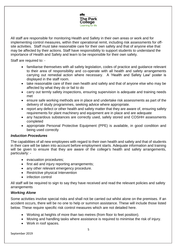

All staff are responsible for monitoring Health and Safety in their own areas or work and for implementing control measures, within their operational remit, including risk assessments for offsite activities. Staff must take reasonable care for their own safety and that of anyone else that may be affected by their actions. Staff have responsibility to support students to understand the importance of Health and Safety and learn to be responsible for their own safety.

Staff are required to: -

- familiarise themselves with all safety legislation, codes of practice and guidance relevant to their area of responsibility and co-operate with all health and safety arrangements carrying out remedial action where necessary. A 'Health and Safety Law' poster is displayed in the staff room.
- take reasonable care of their own health and safety and that of anyone else who may be affected by what they do or fail to do
- carry out termly safety inspections, ensuring supervision is adequate and training needs met
- ensure safe working methods are in place and undertake risk assessments as part of the delivery of study programmes, seeking advice where appropriate.
- report any defect or other health and safety matter that they are aware of, ensuring safety requirements for plant machinery and equipment are in place and are adequate
- any hazardous substances are correctly used, safely stored and COSHH assessments completed
- appropriate Personal Protective Equipment (PPE) is available, in good condition and being used correctly

#### *Induction Procedures*

The capabilities of all new employees with regard to their own health and safety and that of students in their care will be taken into account before employment starts. Adequate information and training will be given to ensure that they are aware of the college's health and safety arrangements, particularly: -

- evacuation procedures;
- first aid and injury reporting arrangements;
- any other relevant emergency procedure.
- Restrictive physical Intervention
- infection control

All staff will be required to sign to say they have received and read the relevant policies and safety arrangements

#### *Working Alone*

Some activities involve special risks and shall not be carried out whilst alone on the premises. If an accident occurs, there will be no one to help or summon assistance. These will include those listed below. These require specific risk control measures which are not detailed here.

- Working at heights of more than two metres (from floor to feet position).
- Moving and handling tasks where assistance is required to minimise the risk of injury.
- Work in roof spaces.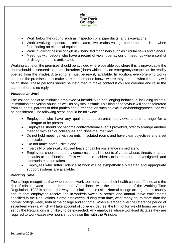

- Work below the ground such as inspection pits, pipe ducts, and excavations.
- Work involving exposure to uninsulated, live, mains voltage conductors, such as when fault finding on electrical equipment.
- Work involving the use of high risk, hand fed machinery such as circular saws and planers.
- Meetings with people who have a record of violent behaviour or meetings where conflict or disagreement is anticipated.

Working alone on the premises should be avoided where possible but where this is unavoidable the doors should be secured to prevent intruders (doors which provide emergency escape can be readily opened from the inside). A telephone must be readily available. In addition, everyone who works alone on the premises must make sure that someone knows where they are and what time they will be finished. These persons should be instructed to make contact if you are overdue and raise the alarm if there is no reply.

## *Violence at Work*

The college seeks to minimise employee vulnerability to challenging behaviour, including threats, intimidation and verbal abuse as well as physical assault. This kind of behaviour will not be tolerated from students, parents or third parties and further action such as exclusion/banning/prosecution will be considered. The following steps should be followed:

- Employees who have any qualms about parental interviews should arrange for a colleague to be present.
- Employees should not become confrontational even if provoked, offer to arrange another meeting with senior colleagues and close the interview.
- Do not hold meetings with parents in isolated rooms and have clear objectives and a set timescale.
- Do not make home visits alone.
- If verbally or physically abused leave or call for assistance immediately.
- Employees should report any concerns and all incidents of verbal abuse, threats or actual assaults to the Principal. This will enable incidents to be monitored, investigated, and appropriate action taken.
- Employees who suffer violence at work will be sympathetically treated and appropriate support systems are available.

#### *Working Time*

The college recognises that when people work too many hours their health can be affected and the risk of mistakes/accidents is increased. Compliance with the requirements of the Working Time Regulations 1998 is seen as the way to minimise these risks. Normal college arrangements usually ensure that employees receive the in-work/daily/weekly breaks and annual leave entitlements specified in the Regulations. Some employees, during term time, work many hours more than the normal college week, both at the college and at home. When averaged over the reference period of seventeen weeks, which will take account of college closures, the limit of forty-eight hours per week set by the Regulations is unlikely to be exceeded. Any employee whose workload dictates they are required to work excessive hours should raise this with the Principal.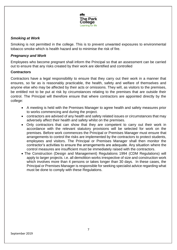

## *Smoking at Work*

Smoking is not permitted in the college. This is to prevent unwanted exposures to environmental tobacco smoke which is health hazard and to minimise the risk of fire.

#### *Pregnancy and Work*

Employees who become pregnant shall inform the Principal so that an assessment can be carried out to ensure that any risks created by their work are identified and controlled

#### **Contractors**

Contractors have a legal responsibility to ensure that they carry out their work in a manner that ensures, so far as is reasonably practicable, the health, safety and welfare of themselves and anyone else who may be affected by their acts or omissions. They will, as visitors to the premises, be entitled not to be put at risk by circumstances relating to the premises that are outside their control. The Principal will therefore ensure that where contractors are appointed directly by the college:

- A meeting is held with the Premises Manager to agree health and safety measures prior to works commencing and during the project.
- contractors are advised of any health and safety related issues or circumstances that may adversely affect their health and safety whilst on the premises.
- Only contractors that can show that they are competent to carry out their work in accordance with the relevant statutory provisions will be selected for work on the premises. Before work commences the Principal or Premises Manager must ensure that arrangements to control the risks are implemented by the contractors to protect students, employees and visitors. The Principal or Premises Manager shall then monitor the contractor's activities to ensure the arrangements are adequate. Any situation where the control measures are insufficient must be immediately raised with the contractors.
- The Construction (Design and Management) Regulations 1994 (CDM Regulations) will apply to larger projects. i.e. all demolition works irrespective of size and construction work which involves more than 4 persons or takes longer than 30 days. In these cases, the Principal or Premises Manager is responsible for seeking specialist advice regarding what must be done to comply with these Regulations.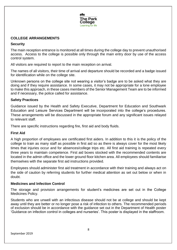

## **COLLEGE ARRANGEMENTS**

## **Security**

The main reception entrance is monitored at all times during the college day to prevent unauthorised access. Access to the college is possible only through the main entry door by use of the access control system.

All visitors are required to report to the main reception on arrival.

The names of all visitors, their time of arrival and departure should be recorded and a badge issued for identification while on the college site.

Unknown persons on the college site not wearing a visitor's badge are to be asked what they are doing and if they require assistance. In some cases, it may not be appropriate for a lone employee to make this approach, in these cases members of the Senior Management Team are to be informed and if necessary, the police called for assistance.

## **Safety Practices**

Guidance issued by the Health and Safety Executive, Department for Education and Southwark Education and Leisure Services Department will be incorporated into the college's procedures. These arrangements will be discussed in the appropriate forum and any significant issues relayed to relevant staff.

There are specific instructions regarding fire, first aid and body fluids.

## **First Aid**

A high proportion of employees are certificated first aiders. In addition to this it is the policy of the college to train as many staff as possible in first aid so as there is always cover for the most likely times that injuries occur and for absences/college trips etc. All first aid training is repeated every three years to maintain competence. First aid boxes stocked with the recommended contents are located in the admin office and the lower ground floor kitchen area. All employees should familiarise themselves with the separate first aid instructions provided.

Employees should administer first aid treatment in accordance with their training and always act on the side of caution by referring students for further medical attention as set out below or when in doubt.

#### **Medicines and Infection Control**

The storage and provision arrangements for student's medicines are set out in the College Medicines Policy.

Students who are unwell with an infectious disease should not be at college and should be kept away until they are better or no longer pose a risk of infection to others. The recommended periods of exclusion should be in accordance with the guidance set out in the Department of Health poster 'Guidance on infection control in colleges and nurseries'. This poster is displayed in the staffroom.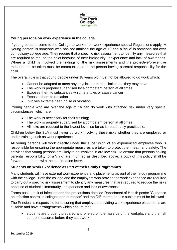

#### **Young persons on work experience in the college.**

If young persons come to the College to work or on work experience special Regulations apply. A 'young person' is someone who has not attained the age of 18 and a 'child' is someone not over compulsory college age. They require that a specific risk assessment to identify any measures that are required to reduce the risks because of their immaturity, inexperience and lack of awareness. Where a 'child' is involved the findings of the risk assessments and the protective/preventive measures to be taken must be communicated to the person having parental responsibility for the child.

The overall rule is that young people under 18 years old must not be allowed to do work which:

- Cannot be adapted to meet any physical or mental limitations they may have
- The work is properly supervised by a competent person at all times
- Exposes them to substances which are toxic or cause cancer
- Exposes them to radiation
- Involves extreme heat, noise or vibration

Young people who are over the age of 16 can do work with attached risk under very special circumstances, which are:

- The work is necessary for their training;
- The work is properly supervised by a competent person at all times;
- All risks are reduced to the lowest level, so far as is reasonably practicable.

Children below the SLA must never do work involving these risks whether they are employed or under training such as work experience

All young persons will work directly under the supervision of an experienced employee who is responsible for ensuring the appropriate measures are taken to protect their heath and safety. The activities that young persons are likely to be involved in are low risk. To ensure that persons having parental responsibility for a 'child' are informed as described above, a copy of this policy shall be forwarded to them with the confirmation letter.

#### **Students on Work Experience as Part of their Study Programmes**

Many students will have external work experience and placements as part of their study programme with the college. Both the college and the employers who provide the work experience are required to carry out a specific risk assessment to identify any measures that are required to reduce the risks because of student's immaturity, inexperience and lack of awareness.

Farms pose a risk of infection and the precautions detailed Department of Health poster 'Guidance on infection control in colleges and nurseries' and the DfE memo on this subject must be followed.

The Principal is responsible for ensuring that employers providing work experience placements are suitable and have arrangements which ensure that:

• students are properly prepared and briefed on the hazards of the workplace and the risk control measures before they start work;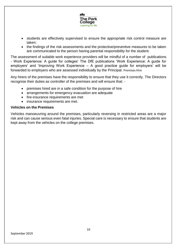

- students are effectively supervised to ensure the appropriate risk control measure are taken;
- the findings of the risk assessments and the protective/preventive measures to be taken are communicated to the person having parental responsibility for the student.

The assessment of suitable work experience providers will be mindful of a number of publications - Work Experience: A guide for colleges' The DfE publications 'Work Experience: A guide for employers' and 'Improving Work Experience – A good practice guide for employers' will be forwarded to employers who are assessed individually by the Principal. Premises Hire

Any hirers of the premises have the responsibility to ensure that they use it correctly. The Directors recognise their duties as controller of the premises and will ensure that: -

- premises hired are in a safe condition for the purpose of hire
- arrangements for emergency evacuation are adequate
- fire-insurance requirements are met
- insurance requirements are met.

#### **Vehicles on the Premises**

Vehicles manoeuvring around the premises, particularly reversing in restricted areas are a major risk and can cause serious even fatal injuries. Special care is necessary to ensure that students are kept away from the vehicles on the college premises.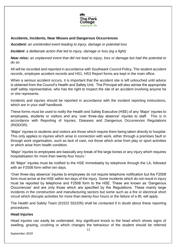

## **Accidents, Incidents, Near Misses and Dangerous Occurrences**

*Accident: an unintended event leading to injury, damage or potential loss*

*Incident: a deliberate action that led to injury, damage or loss (eg a fight)*

*Near miss: an unplanned event that did not lead to injury, loss or damage but had the potential to do so* 

All will be recorded and reported in accordance with Southwark Council Policy. The student accident records, employee accident records and HS1, HS3 Report forms are kept in the main office.

When a serious accident occurs, it is important that the accident site is left untouched until advice is obtained from the Council's Health and Safety Unit. The Principal will also advise the appropriate staff safety representative, who has the right to inspect the site of an accident involving anyone he or she represents.

Incidents and injuries should be reported in accordance with the incident reporting instructions, which are in your staff handbook.

These forms must be used to notify the Health and Safety Executive (HSE) of any 'Major' injuries to employees, students or visitors and any 'over three-day absence' injuries to staff. This is in accordance with Reporting of Injuries, Diseases and Dangerous Occurrences Regulations (RIDDOR).

'Major' injuries to students and visitors are those which require them being taken directly to hospital. This only applies to injuries which arise in connection with work, either through a premises fault or through work organisation, such as lack of care, not those which arise from play or sport activities or which arise from health condition.

'Major' injuries to employees are basically any break of the large bones or any injury which requires hospitalisation for more than twenty-four hours.'

All 'Major' injuries must be notified to the HSE immediately by telephone through the LA, followed with an F2508 form within ten days.

'Over three-day absence' injuries to employees do not require telephone notification but the F2508 form must arrive at the HSE within ten days of the injury. Some incidents which do not result in injury must be reported by telephone and F2508 form to the HSE. These are known as 'Dangerous Occurrences' and are only those which are specified by the Regulations. These mainly large incidents in the construction and manufacturing sectors but some such as a fire or electrical short circuit which disrupts activities for more than twenty-four hours or the failure of a lift, will apply.

The Health and Safety Team (01522 552205) shall be contacted if in doubt about these reporting procedures.

## **Head Injuries**

Head injuries can easily be underrated. Any significant knock to the head which shows signs of swelling, grazing, crushing or which changes the behaviour of the student should be referred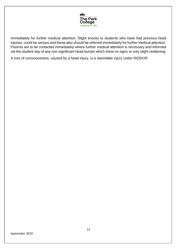

immediately for further medical attention. Slight knocks to students who have had previous head injuries, could be serious and these also should be referred immediately for further medical attention. Parents are to be contacted immediately where further medical attention is necessary and informed via the student day of any non-significant head bumps which show no signs or only slight reddening.

A loss of consciousness, caused by a head injury, is a reportable injury under RIDDOR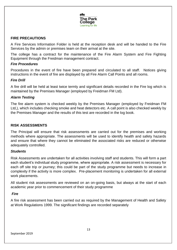

## **FIRE PRECAUTIONS**

A Fire Services Information Folder is held at the reception desk and will be handed to the Fire Services by the admin or premises team on their arrival at the site.

The college has a contract for the maintenance of the Fire Alarm System and Fire Fighting Equipment through the Freidman management contract.

#### *Fire Procedures*

Procedures in the event of fire have been prepared and circulated to all staff. Notices giving instructions in the event of fire are displayed by all Fire Alarm Call Points and all rooms.

#### *Fire Drill*

A fire drill will be held at least twice termly and significant details recorded in the Fire log which is maintained by the Premises Manager (employed by Freidman FM Ltd).

#### *Alarm Testing*

The fire alarm system is checked weekly by the Premises Manager (employed by Freidman FM Ltd,), which includes checking smoke and heat detectors etc. A call point is also checked weekly by the Premises Manager and the results of this test are recorded in the log book.

#### **RISK ASSESSMENTS**

The Principal will ensure that risk assessments are carried out for the premises and working methods where appropriate. The assessments will be used to identify health and safety hazards and ensure that where they cannot be eliminated the associated risks are reduced or otherwise adequately controlled.

#### *Students*

Risk Assessments are undertaken for all activities involving staff and students. This will form a part each student's individual study programme, where appropriate. A risk assessment is necessary for each off site trip or journey; this could be part of the study programme but needs to increase in complexity if the activity is more complex. Pre-placement monitoring is undertaken for all external work placements.

All student risk assessments are reviewed on an on-going basis, but always at the start of each academic year prior to commencement of their study programme

#### *Fire*

A fire risk assessment has been carried out as required by the Management of Health and Safety at Work Regulations 1999. The significant findings are recorded separately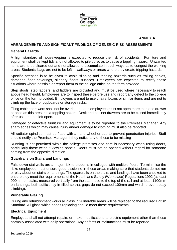

#### **ANNEX A**

#### **ARRANGEMENTS AND SIGNIFICANT FINDINGS OF GENERIC RISK ASSESSMENTS**

#### **General Hazards**

A high standard of housekeeping is expected to reduce the risk of accidents. Furniture and equipment shall be kept tidy and not allowed to pile up so as to cause a toppling hazard. Unwanted items are to be cleared out and not allowed to accumulate in such ways as to congest the working areas. Students' bags are not to be left in walkways or areas where they create tripping hazards.

Specific attention is to be given to avoid slipping and tripping hazards such as trailing cables, damaged floor coverings, slippery floors surfaces. Employees are expected to rectify these situations where possible or report them to the college office on the form provided.

Step stools, step ladders, and ladders are provided and must be used where necessary to reach above head height. Employees are to inspect these before use and report any defect to the college office on the form provided. Employees are not to use chairs, boxes or similar items and are not to climb up the face of cupboards or storage racks.

Filing cabinet drawers shall not be overloaded and employees must not open more than one drawer at once as this presents a toppling hazard. Desk and cabinet drawers are to be closed immediately after use and not left open.

Damaged or defective furniture and equipment is to be reported to the Premises Manager. Any sharp edges which may cause injury and/or damage to clothing must also be reported.

All radiator spindles must be fitted with a hand wheel or cap to prevent penetration injuries. Staff should notify the Premises Manager if they notice any of these to be missing

Running is not permitted within the college premises and care is necessary when using doors, particularly those without viewing panels. Doors must not be opened without regard for someone coming from the opposite direction.

#### **Guardrails on Stairs and Landings**

Falls down stairwells are a major risk to students in colleges with multiple floors. To minimise the risks employees must ensure good discipline in these areas making sure that students do not run or play about on stairs or landings. The guardrails on the stairs and landings have been checked to ensure they meet the requirements of the Health and Safety (Workplace) Regulations 1992 (at least 900mm on stairs, measured vertically from the stair nose to the top of the rail and at least 1100mm on landings, both sufficiently in-filled so that gaps do not exceed 100mm and which prevent easy climbing).

#### **Vulnerable Glazing**

During any refurbishment works all glass in vulnerable areas will be replaced to the required British Standard. All glass which needs replacing should meet these requirements.

#### **Electrical Equipment**

Employees shall not attempt repairs or make modifications to electric equipment other than those normally associated with daily operations. Any defects or malfunctions must be reported.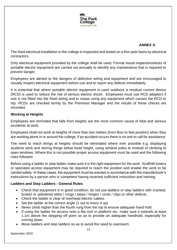

## **ANNEX A**

The fixed electrical installation in the college is inspected and tested on a five-year basis by electrical contractors.

Only electrical equipment provided by the college shall be used. Formal visual inspections/tests of portable electric equipment are carried out annually to identify any maintenance that is required to prevent danger.

Employees are alerted to the dangers of defective wiring and equipment and are encouraged to visually inspect electrical equipment before use and to report any defects immediately.

It is essential that where portable electric equipment is used outdoors a residual current device (RCD) is used to reduce the risk of serious electric shock. Employees must use RCD adapters if one is not fitted into the fixed wiring and to cease using any equipment which causes the RCD to trip. RCDs are checked termly by the Premises Manager and the results of these checks are recorded.

#### **Working at Heights**

Employees are reminded that falls from heights are the most common cause of fatal and serious accidents at work.

Employees shall not work at heights of more than two metres (from floor to feet position) when they are working alone in or around the college, if an accident occurs there is no one to call for assistance.

The need to reach things at heights should be eliminated where ever possible e.g. displaying students work and storing things below head height, using window poles to instead of climbing to open windows. Where this is not possible proper access equipment must be used and the following rules followed:

Before using a ladder or step ladder make sure it is the right equipment for the work. Scaffold towers or specialist access equipment may be required to reach the position and enable the work to be carried safely. In these cases, the equipment must be erected in accordance with the manufacturer's instructions by a person who is competent having received sufficient instruction and training.

#### **Ladders and Step Ladders - General Rules**

- Check that equipment is in good condition; do not use ladders or step ladders with cracked, broken or splintered stiles / rungs / steps / hinges / cords / clips or other defects.
- Check the ladder is clear of overhead electric cables.
- Set the ladder at the correct angle (1 out to every 4 up)
- Never climb higher than the fourth rung from the top to ensure adequate hand hold.
- If using the ladder for access onto a flat roof or platform etc. make sure it extends at least 1.1m above the stepping off point so as to provide an adequate handhold, especially for coming down.
- Move ladders and step ladders so as to avoid the need to overreach.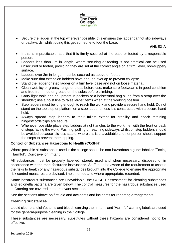

 Secure the ladder at the top wherever possible, this ensures the ladder cannot slip sideways or backwards, whilst doing this get someone to foot the base.

## **ANNEX A**

- If this is impracticable, see that it is firmly secured at the base or footed by a responsible person.
- Ladders less than 3m in length, where securing or footing is not practical can be used unsecured or footed, providing they are set at the correct angle on a firm, level, non-slippery surface.
- Ladders over 3m in length must be secured as above or footed.
- Make sure that extension ladders have enough overlap to prevent collapse.
- Stand the ladder or step ladder on a firm level base and not on loose material.
- Clean wet, icy or greasy rungs or steps before use, make sure footwear is in good condition and free from mud or grease on the soles before climbing.
- Carry light tools and equipment in pockets or a holster/tool bag slung from a strap over the shoulder; use a hoist line to raise larger items when at the working position.
- Step ladders must be long enough to reach the work and provide a secure hand hold. Do not stand on the top step or platform on a step ladder unless it is constructed with a secure hand hold.
- Always spread step ladders to their fullest extent for stability and check retaining hinges/cords/clips are secure.
- Whenever possible place step ladders at right angles to the work, i.e. with the front or back of steps facing the work. Pushing, pulling or reaching sideways whilst on step ladders should be avoided because it is less stable, where this is unavoidable another person should support the steps to prevent them tipping.

## **Control of Substances Hazardous to Health (COSHH)**

Where possible all substances used in the college should be non-hazardous e.g. not labelled 'Toxic', 'Harmful', 'Corrosive' or 'Irritant'.

All substances must be properly labelled, stored, used and when necessary, disposed of in accordance with the manufacturer's instructions. Staff must be aware of the requirement to assess the risks to health of any hazardous substances brought into the College to ensure the appropriate risk control measures are devised, implemented and where appropriate, recorded.

Some hazardous substances are unavoidable, the COSHH assessment for cleaning substances and legionella bacteria are given below. The control measures for the hazardous substances used in Catering are covered in the relevant sections.

See the sections above on first aid and accidents and incidents for reporting arrangements.

## **Cleaning Substances**

Liquid cleaners, disinfectants and bleach carrying the 'Irritant' and 'Harmful' warning labels are used for the general-purpose cleaning in the College.

These substances are necessary, substitutes without these hazards are considered not to be effective.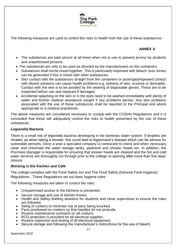

The following measures are used to control the risks to health from the use of these substances:

# **ANNEX A**

- The substances are kept secure at all times when not in use to prevent access by students and unauthorised persons.
- The substances are only to be used as directed by the manufacturers on the containers.
- Substances shall not be mixed together. This is particularly important with bleach; toxic fumes can be generated if this is mixed with other substances.
- Skin contact with the substances straight from the containers or prolonged/repeated contact with diluted solutions can cause health problems e.g. redness of skin, eczema or dermatitis. Contact with the skin is to be avoided by the wearing of disposable gloves. These are to be inspected before use and replaced if damaged.
- Accidental splashing on the skin or in the eyes need to be washed immediately with plenty of water and further medical assistance sought if any problems persist. Any skin problems associated with the use of these substances shall be reported to the Principal and where appropriate to a medical practitioner.

The above measures are considered necessary to comply with the COSHH Regulations and it is concluded that these will adequately control the risks to health presented by the use of these substances.

## **Legionella Bacteria**

There is a small risk of legionella bacteria developing in the domestic water system. If droplets are inhaled, as when taking a shower, this could lead to legionnaire's disease which can be serious for vulnerable persons. Once a year a specialist company is contracted to check and when necessary clean and chlorinate the water storage tanks, pipework and shower heads etc. In addition, the Premises Manager is responsible for ensuring that shower heads are cleaned and the hot and cold water services are thoroughly run through prior to the college re-opening after more than five days' closure.

## **Working in the Kitchen and Café**

The college complies with the Food Safety Act and The Food Safety (General Food Hygiene) Regulations. These Regulations set out basic hygiene rules.

The following measures are taken to control the risks:

- Unsupervised access to the kitchens is prevented.
- Secure storage and use of kitchen knives.
- Health and Safety briefing sessions for students and close supervision to ensure the rules are followed.
- Siting of cookers to minimise risk of pans being knocked.
- Pans positioned on cookers so that handles do not protrude.
- Routine maintenance contracts on all cookers.
- RCD protection is provided for all electrical supplies
- Routine inspection and testing of all electrical equipment.
- Secure storage and following the manufacturer's instructions for the use of bleach.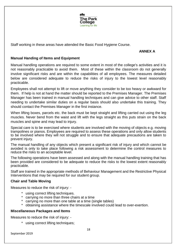

Staff working in these areas have attended the Basic Food Hygiene Course.

## **ANNEX A**

#### **Manual Handing of Items and Equipment**

Manual handling operations are required to some extent in most of the college's activities and it is not reasonably practicable to avoid them. Most of these within the classroom do not generally involve significant risks and are within the capabilities of all employees. The measures detailed below are considered adequate to reduce the risks of injury to the lowest level reasonably practicable.

Employees shall not attempt to lift or move anything they consider to be too heavy or awkward for them. If help is not at hand the matter should be reported to the Premises Manager. The Premises Manager has been trained in manual handling techniques and can give advice to other staff. Staff needing to undertake similar duties on a regular basis should also undertake this training. They should contact the Premises Manager in the first instance.

When lifting boxes, parcels etc. the back must be kept straight and lifting carried out using the leg muscles. Never bend from the waist and lift with the legs straight as this puts strain on the back muscles and spine and may lead to injury.

Special care is to be exercised where students are involved with the moving of objects e.g. moving trampolines or pianos. Employees are required to assess these operations and only allow students to be involved where they will not struggle and to ensure that adequate precautions are taken to prevent injury.

The manual handling of any objects which present a significant risk of injury and which cannot be avoided is only to take place following a risk assessment to determine the control measures to reduce the risks to an acceptable level.

The following operations have been assessed and along with the manual handling training that has been provided are considered to be adequate to reduce the risks to the lowest extent reasonably practicable.

Staff are trained in the appropriate methods of Behaviour Management and the Restrictive Physical Interventions that may be required for our student group.

#### **Chair and Table Moving**

Measures to reduce the risk of injury: -

- \* using correct lifting techniques.
- carrying no more than three chairs at a time
- carrying no more than one table at a time (single tables)
- \* obtaining assistance where the timescale involved could lead to over-exertion.

#### **Miscellaneous Packages and Items**

Measures to reduce the risk of injury: -

\* using correct lifting techniques;